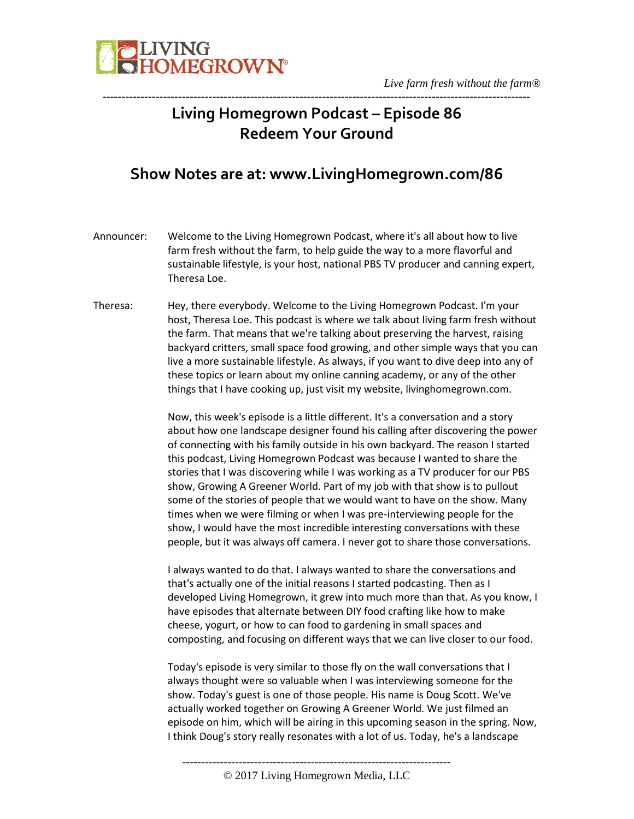

### **Living Homegrown Podcast – Episode 86 Redeem Your Ground**

-----------------------------------------------------------------------------------------------------------------

#### **Show Notes are at: www.LivingHomegrown.com/86**

- Announcer: Welcome to the Living Homegrown Podcast, where it's all about how to live farm fresh without the farm, to help guide the way to a more flavorful and sustainable lifestyle, is your host, national PBS TV producer and canning expert, Theresa Loe.
- Theresa: Hey, there everybody. Welcome to the Living Homegrown Podcast. I'm your host, Theresa Loe. This podcast is where we talk about living farm fresh without the farm. That means that we're talking about preserving the harvest, raising backyard critters, small space food growing, and other simple ways that you can live a more sustainable lifestyle. As always, if you want to dive deep into any of these topics or learn about my online canning academy, or any of the other things that I have cooking up, just visit my website, livinghomegrown.com.

Now, this week's episode is a little different. It's a conversation and a story about how one landscape designer found his calling after discovering the power of connecting with his family outside in his own backyard. The reason I started this podcast, Living Homegrown Podcast was because I wanted to share the stories that I was discovering while I was working as a TV producer for our PBS show, Growing A Greener World. Part of my job with that show is to pullout some of the stories of people that we would want to have on the show. Many times when we were filming or when I was pre-interviewing people for the show, I would have the most incredible interesting conversations with these people, but it was always off camera. I never got to share those conversations.

I always wanted to do that. I always wanted to share the conversations and that's actually one of the initial reasons I started podcasting. Then as I developed Living Homegrown, it grew into much more than that. As you know, I have episodes that alternate between DIY food crafting like how to make cheese, yogurt, or how to can food to gardening in small spaces and composting, and focusing on different ways that we can live closer to our food.

Today's episode is very similar to those fly on the wall conversations that I always thought were so valuable when I was interviewing someone for the show. Today's guest is one of those people. His name is Doug Scott. We've actually worked together on Growing A Greener World. We just filmed an episode on him, which will be airing in this upcoming season in the spring. Now, I think Doug's story really resonates with a lot of us. Today, he's a landscape

-----------------------------------------------------------------------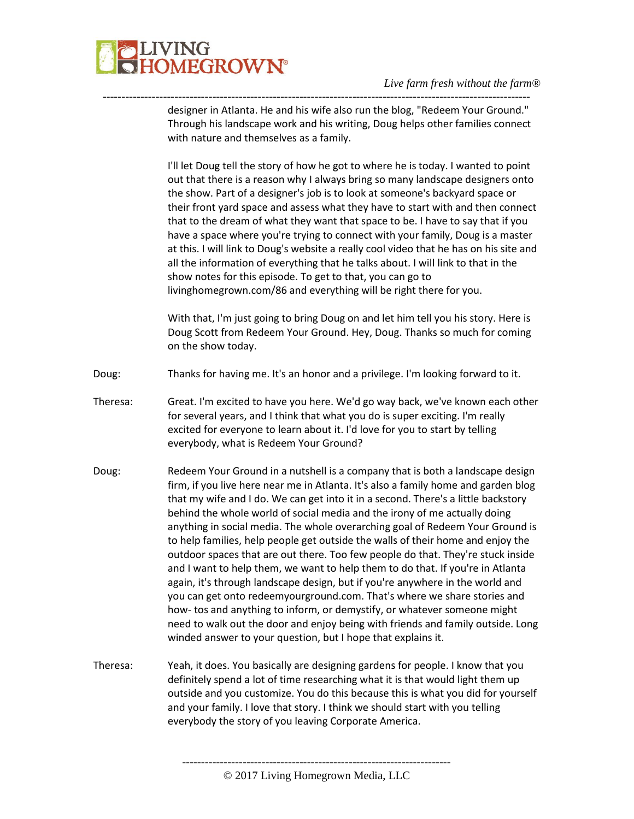

#### *Live farm fresh without the farm®*

designer in Atlanta. He and his wife also run the blog, "Redeem Your Ground." Through his landscape work and his writing, Doug helps other families connect with nature and themselves as a family.

-----------------------------------------------------------------------------------------------------------------

I'll let Doug tell the story of how he got to where he is today. I wanted to point out that there is a reason why I always bring so many landscape designers onto the show. Part of a designer's job is to look at someone's backyard space or their front yard space and assess what they have to start with and then connect that to the dream of what they want that space to be. I have to say that if you have a space where you're trying to connect with your family, Doug is a master at this. I will link to Doug's website a really cool video that he has on his site and all the information of everything that he talks about. I will link to that in the show notes for this episode. To get to that, you can go to livinghomegrown.com/86 and everything will be right there for you.

With that, I'm just going to bring Doug on and let him tell you his story. Here is Doug Scott from Redeem Your Ground. Hey, Doug. Thanks so much for coming on the show today.

- Doug: Thanks for having me. It's an honor and a privilege. I'm looking forward to it.
- Theresa: Great. I'm excited to have you here. We'd go way back, we've known each other for several years, and I think that what you do is super exciting. I'm really excited for everyone to learn about it. I'd love for you to start by telling everybody, what is Redeem Your Ground?
- Doug: Redeem Your Ground in a nutshell is a company that is both a landscape design firm, if you live here near me in Atlanta. It's also a family home and garden blog that my wife and I do. We can get into it in a second. There's a little backstory behind the whole world of social media and the irony of me actually doing anything in social media. The whole overarching goal of Redeem Your Ground is to help families, help people get outside the walls of their home and enjoy the outdoor spaces that are out there. Too few people do that. They're stuck inside and I want to help them, we want to help them to do that. If you're in Atlanta again, it's through landscape design, but if you're anywhere in the world and you can get onto redeemyourground.com. That's where we share stories and how- tos and anything to inform, or demystify, or whatever someone might need to walk out the door and enjoy being with friends and family outside. Long winded answer to your question, but I hope that explains it.
- Theresa: Yeah, it does. You basically are designing gardens for people. I know that you definitely spend a lot of time researching what it is that would light them up outside and you customize. You do this because this is what you did for yourself and your family. I love that story. I think we should start with you telling everybody the story of you leaving Corporate America.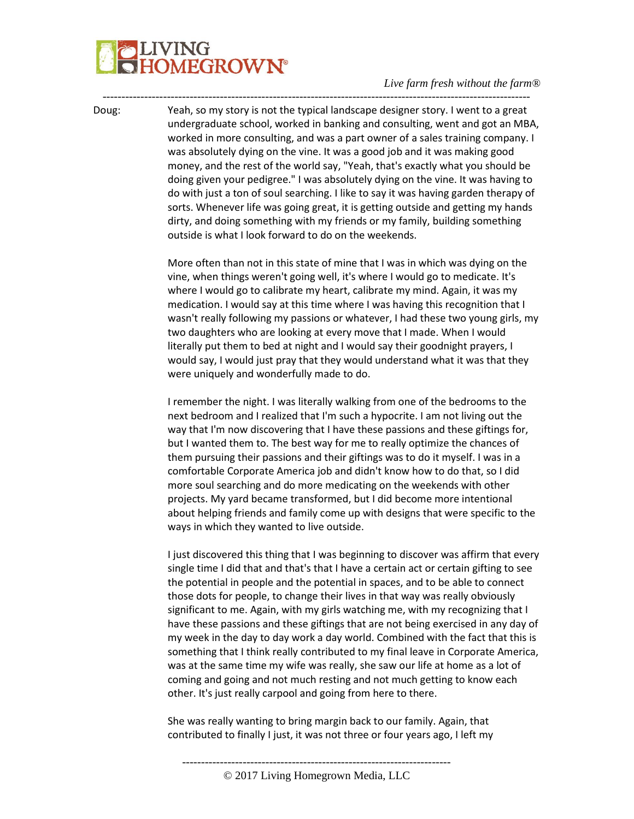# **LIVING<br>HOMEGROWN®**

#### *Live farm fresh without the farm®*

Doug: Yeah, so my story is not the typical landscape designer story. I went to a great undergraduate school, worked in banking and consulting, went and got an MBA, worked in more consulting, and was a part owner of a sales training company. I was absolutely dying on the vine. It was a good job and it was making good money, and the rest of the world say, "Yeah, that's exactly what you should be doing given your pedigree." I was absolutely dying on the vine. It was having to do with just a ton of soul searching. I like to say it was having garden therapy of sorts. Whenever life was going great, it is getting outside and getting my hands dirty, and doing something with my friends or my family, building something outside is what I look forward to do on the weekends.

-----------------------------------------------------------------------------------------------------------------

More often than not in this state of mine that I was in which was dying on the vine, when things weren't going well, it's where I would go to medicate. It's where I would go to calibrate my heart, calibrate my mind. Again, it was my medication. I would say at this time where I was having this recognition that I wasn't really following my passions or whatever, I had these two young girls, my two daughters who are looking at every move that I made. When I would literally put them to bed at night and I would say their goodnight prayers, I would say, I would just pray that they would understand what it was that they were uniquely and wonderfully made to do.

I remember the night. I was literally walking from one of the bedrooms to the next bedroom and I realized that I'm such a hypocrite. I am not living out the way that I'm now discovering that I have these passions and these giftings for, but I wanted them to. The best way for me to really optimize the chances of them pursuing their passions and their giftings was to do it myself. I was in a comfortable Corporate America job and didn't know how to do that, so I did more soul searching and do more medicating on the weekends with other projects. My yard became transformed, but I did become more intentional about helping friends and family come up with designs that were specific to the ways in which they wanted to live outside.

I just discovered this thing that I was beginning to discover was affirm that every single time I did that and that's that I have a certain act or certain gifting to see the potential in people and the potential in spaces, and to be able to connect those dots for people, to change their lives in that way was really obviously significant to me. Again, with my girls watching me, with my recognizing that I have these passions and these giftings that are not being exercised in any day of my week in the day to day work a day world. Combined with the fact that this is something that I think really contributed to my final leave in Corporate America, was at the same time my wife was really, she saw our life at home as a lot of coming and going and not much resting and not much getting to know each other. It's just really carpool and going from here to there.

She was really wanting to bring margin back to our family. Again, that contributed to finally I just, it was not three or four years ago, I left my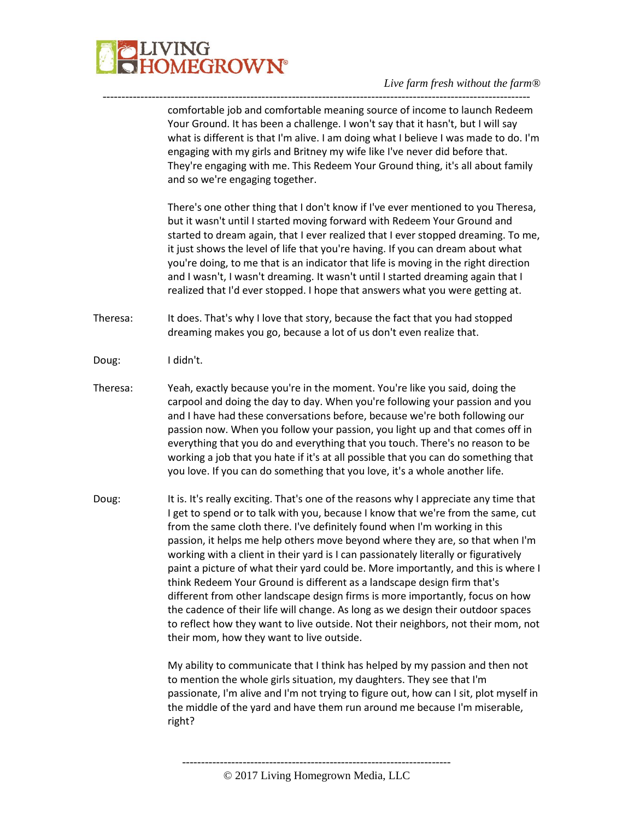### **LIVING<br>HOMEGROWN®**

comfortable job and comfortable meaning source of income to launch Redeem Your Ground. It has been a challenge. I won't say that it hasn't, but I will say what is different is that I'm alive. I am doing what I believe I was made to do. I'm engaging with my girls and Britney my wife like I've never did before that. They're engaging with me. This Redeem Your Ground thing, it's all about family and so we're engaging together.

-----------------------------------------------------------------------------------------------------------------

There's one other thing that I don't know if I've ever mentioned to you Theresa, but it wasn't until I started moving forward with Redeem Your Ground and started to dream again, that I ever realized that I ever stopped dreaming. To me, it just shows the level of life that you're having. If you can dream about what you're doing, to me that is an indicator that life is moving in the right direction and I wasn't, I wasn't dreaming. It wasn't until I started dreaming again that I realized that I'd ever stopped. I hope that answers what you were getting at.

- Theresa: It does. That's why I love that story, because the fact that you had stopped dreaming makes you go, because a lot of us don't even realize that.
- Doug: I didn't.
- Theresa: Yeah, exactly because you're in the moment. You're like you said, doing the carpool and doing the day to day. When you're following your passion and you and I have had these conversations before, because we're both following our passion now. When you follow your passion, you light up and that comes off in everything that you do and everything that you touch. There's no reason to be working a job that you hate if it's at all possible that you can do something that you love. If you can do something that you love, it's a whole another life.

Doug: It is. It's really exciting. That's one of the reasons why I appreciate any time that I get to spend or to talk with you, because I know that we're from the same, cut from the same cloth there. I've definitely found when I'm working in this passion, it helps me help others move beyond where they are, so that when I'm working with a client in their yard is I can passionately literally or figuratively paint a picture of what their yard could be. More importantly, and this is where I think Redeem Your Ground is different as a landscape design firm that's different from other landscape design firms is more importantly, focus on how the cadence of their life will change. As long as we design their outdoor spaces to reflect how they want to live outside. Not their neighbors, not their mom, not their mom, how they want to live outside.

> My ability to communicate that I think has helped by my passion and then not to mention the whole girls situation, my daughters. They see that I'm passionate, I'm alive and I'm not trying to figure out, how can I sit, plot myself in the middle of the yard and have them run around me because I'm miserable, right?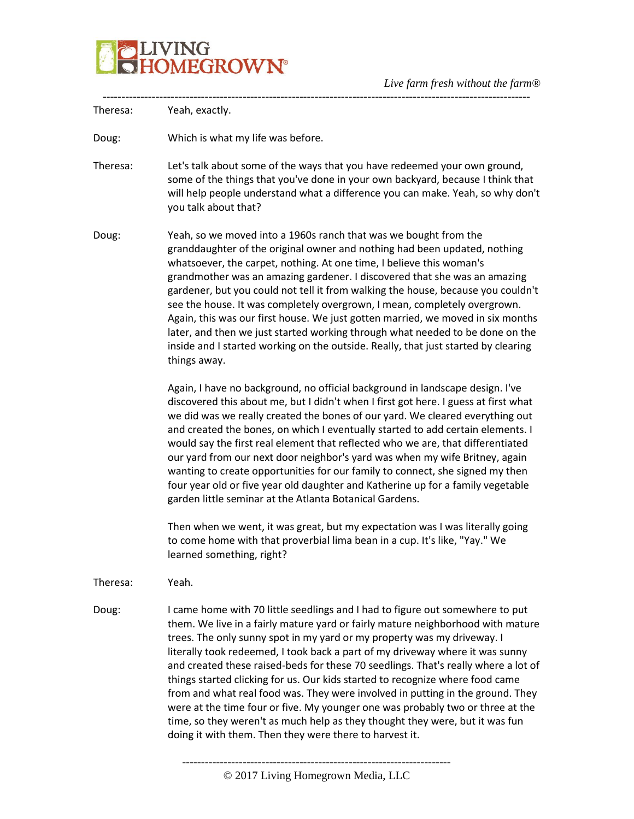

----------------------------------------------------------------------------------------------------------------- Theresa: Yeah, exactly. Doug: Which is what my life was before. Theresa: Let's talk about some of the ways that you have redeemed your own ground, some of the things that you've done in your own backyard, because I think that will help people understand what a difference you can make. Yeah, so why don't you talk about that? Doug: Yeah, so we moved into a 1960s ranch that was we bought from the granddaughter of the original owner and nothing had been updated, nothing whatsoever, the carpet, nothing. At one time, I believe this woman's grandmother was an amazing gardener. I discovered that she was an amazing gardener, but you could not tell it from walking the house, because you couldn't see the house. It was completely overgrown, I mean, completely overgrown. Again, this was our first house. We just gotten married, we moved in six months later, and then we just started working through what needed to be done on the inside and I started working on the outside. Really, that just started by clearing things away. Again, I have no background, no official background in landscape design. I've discovered this about me, but I didn't when I first got here. I guess at first what we did was we really created the bones of our yard. We cleared everything out and created the bones, on which I eventually started to add certain elements. I would say the first real element that reflected who we are, that differentiated our yard from our next door neighbor's yard was when my wife Britney, again wanting to create opportunities for our family to connect, she signed my then four year old or five year old daughter and Katherine up for a family vegetable garden little seminar at the Atlanta Botanical Gardens. Then when we went, it was great, but my expectation was I was literally going to come home with that proverbial lima bean in a cup. It's like, "Yay." We learned something, right? Theresa: Yeah. Doug: I came home with 70 little seedlings and I had to figure out somewhere to put them. We live in a fairly mature yard or fairly mature neighborhood with mature trees. The only sunny spot in my yard or my property was my driveway. I literally took redeemed, I took back a part of my driveway where it was sunny and created these raised-beds for these 70 seedlings. That's really where a lot of things started clicking for us. Our kids started to recognize where food came from and what real food was. They were involved in putting in the ground. They were at the time four or five. My younger one was probably two or three at the time, so they weren't as much help as they thought they were, but it was fun doing it with them. Then they were there to harvest it.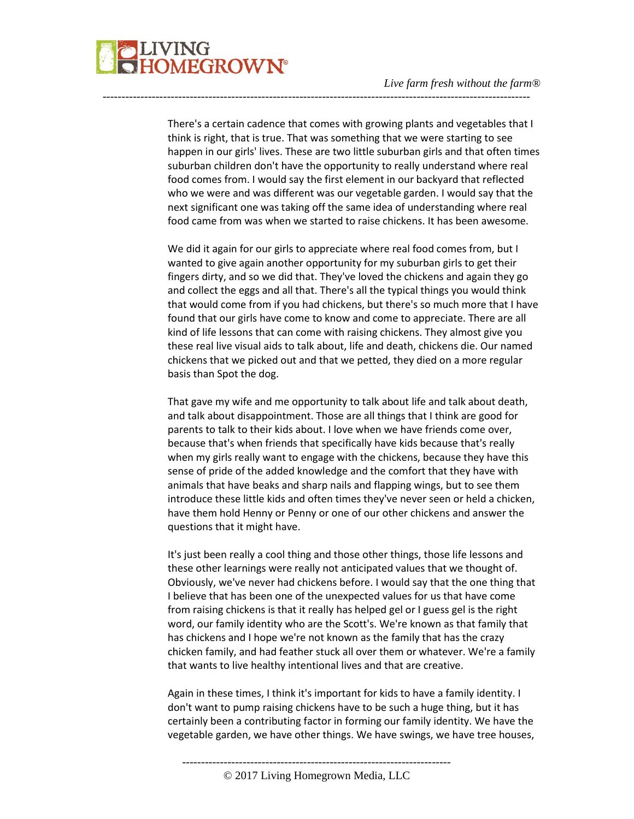There's a certain cadence that comes with growing plants and vegetables that I think is right, that is true. That was something that we were starting to see happen in our girls' lives. These are two little suburban girls and that often times suburban children don't have the opportunity to really understand where real food comes from. I would say the first element in our backyard that reflected who we were and was different was our vegetable garden. I would say that the next significant one was taking off the same idea of understanding where real food came from was when we started to raise chickens. It has been awesome.

-----------------------------------------------------------------------------------------------------------------

We did it again for our girls to appreciate where real food comes from, but I wanted to give again another opportunity for my suburban girls to get their fingers dirty, and so we did that. They've loved the chickens and again they go and collect the eggs and all that. There's all the typical things you would think that would come from if you had chickens, but there's so much more that I have found that our girls have come to know and come to appreciate. There are all kind of life lessons that can come with raising chickens. They almost give you these real live visual aids to talk about, life and death, chickens die. Our named chickens that we picked out and that we petted, they died on a more regular basis than Spot the dog.

That gave my wife and me opportunity to talk about life and talk about death, and talk about disappointment. Those are all things that I think are good for parents to talk to their kids about. I love when we have friends come over, because that's when friends that specifically have kids because that's really when my girls really want to engage with the chickens, because they have this sense of pride of the added knowledge and the comfort that they have with animals that have beaks and sharp nails and flapping wings, but to see them introduce these little kids and often times they've never seen or held a chicken, have them hold Henny or Penny or one of our other chickens and answer the questions that it might have.

It's just been really a cool thing and those other things, those life lessons and these other learnings were really not anticipated values that we thought of. Obviously, we've never had chickens before. I would say that the one thing that I believe that has been one of the unexpected values for us that have come from raising chickens is that it really has helped gel or I guess gel is the right word, our family identity who are the Scott's. We're known as that family that has chickens and I hope we're not known as the family that has the crazy chicken family, and had feather stuck all over them or whatever. We're a family that wants to live healthy intentional lives and that are creative.

Again in these times, I think it's important for kids to have a family identity. I don't want to pump raising chickens have to be such a huge thing, but it has certainly been a contributing factor in forming our family identity. We have the vegetable garden, we have other things. We have swings, we have tree houses,

-----------------------------------------------------------------------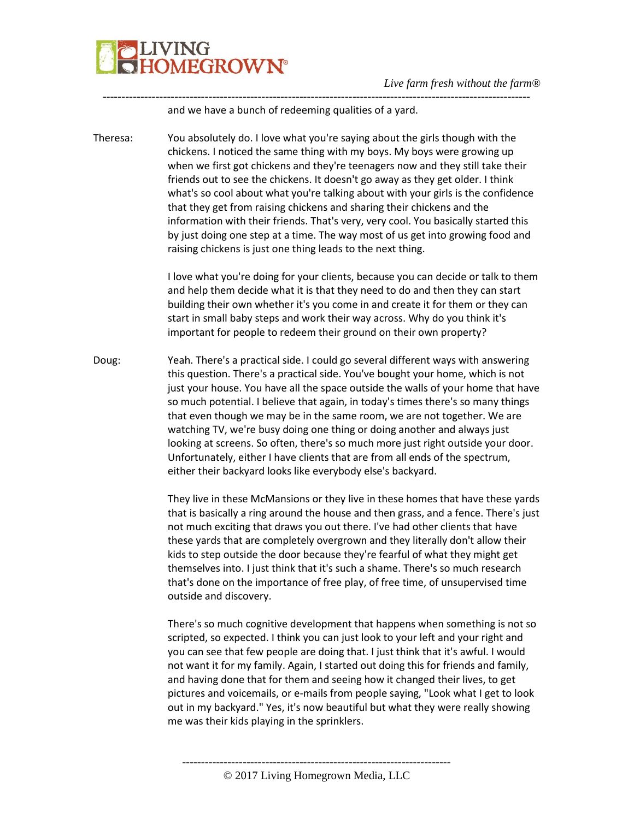

and we have a bunch of redeeming qualities of a yard.

Theresa: You absolutely do. I love what you're saying about the girls though with the chickens. I noticed the same thing with my boys. My boys were growing up when we first got chickens and they're teenagers now and they still take their friends out to see the chickens. It doesn't go away as they get older. I think what's so cool about what you're talking about with your girls is the confidence that they get from raising chickens and sharing their chickens and the information with their friends. That's very, very cool. You basically started this by just doing one step at a time. The way most of us get into growing food and raising chickens is just one thing leads to the next thing.

-----------------------------------------------------------------------------------------------------------------

I love what you're doing for your clients, because you can decide or talk to them and help them decide what it is that they need to do and then they can start building their own whether it's you come in and create it for them or they can start in small baby steps and work their way across. Why do you think it's important for people to redeem their ground on their own property?

Doug: Yeah. There's a practical side. I could go several different ways with answering this question. There's a practical side. You've bought your home, which is not just your house. You have all the space outside the walls of your home that have so much potential. I believe that again, in today's times there's so many things that even though we may be in the same room, we are not together. We are watching TV, we're busy doing one thing or doing another and always just looking at screens. So often, there's so much more just right outside your door. Unfortunately, either I have clients that are from all ends of the spectrum, either their backyard looks like everybody else's backyard.

> They live in these McMansions or they live in these homes that have these yards that is basically a ring around the house and then grass, and a fence. There's just not much exciting that draws you out there. I've had other clients that have these yards that are completely overgrown and they literally don't allow their kids to step outside the door because they're fearful of what they might get themselves into. I just think that it's such a shame. There's so much research that's done on the importance of free play, of free time, of unsupervised time outside and discovery.

There's so much cognitive development that happens when something is not so scripted, so expected. I think you can just look to your left and your right and you can see that few people are doing that. I just think that it's awful. I would not want it for my family. Again, I started out doing this for friends and family, and having done that for them and seeing how it changed their lives, to get pictures and voicemails, or e-mails from people saying, "Look what I get to look out in my backyard." Yes, it's now beautiful but what they were really showing me was their kids playing in the sprinklers.

----------------------------------------------------------------------- © 2017 Living Homegrown Media, LLC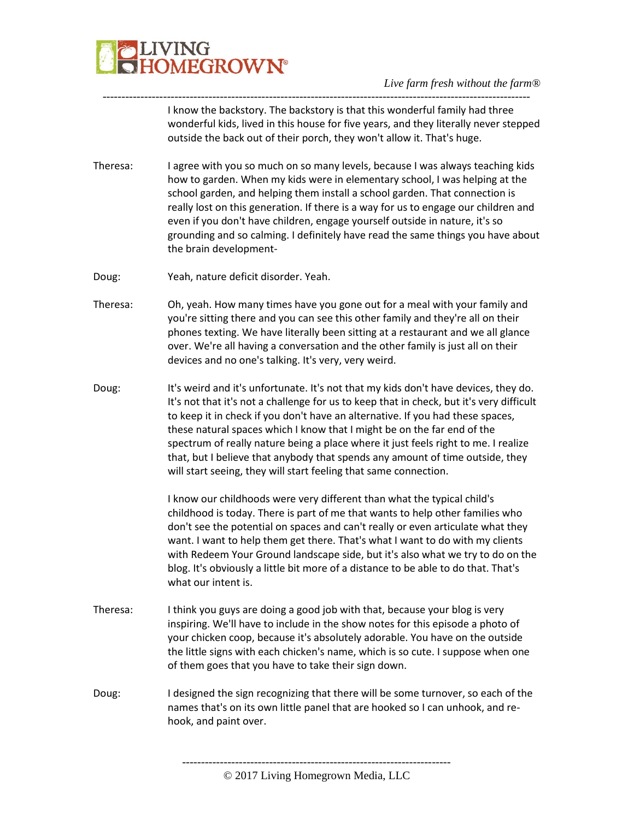

*Live farm fresh without the farm®*

I know the backstory. The backstory is that this wonderful family had three wonderful kids, lived in this house for five years, and they literally never stepped outside the back out of their porch, they won't allow it. That's huge.

Theresa: I agree with you so much on so many levels, because I was always teaching kids how to garden. When my kids were in elementary school, I was helping at the school garden, and helping them install a school garden. That connection is really lost on this generation. If there is a way for us to engage our children and even if you don't have children, engage yourself outside in nature, it's so grounding and so calming. I definitely have read the same things you have about the brain development-

-----------------------------------------------------------------------------------------------------------------

- Doug: Yeah, nature deficit disorder. Yeah.
- Theresa: Oh, yeah. How many times have you gone out for a meal with your family and you're sitting there and you can see this other family and they're all on their phones texting. We have literally been sitting at a restaurant and we all glance over. We're all having a conversation and the other family is just all on their devices and no one's talking. It's very, very weird.
- Doug: It's weird and it's unfortunate. It's not that my kids don't have devices, they do. It's not that it's not a challenge for us to keep that in check, but it's very difficult to keep it in check if you don't have an alternative. If you had these spaces, these natural spaces which I know that I might be on the far end of the spectrum of really nature being a place where it just feels right to me. I realize that, but I believe that anybody that spends any amount of time outside, they will start seeing, they will start feeling that same connection.

I know our childhoods were very different than what the typical child's childhood is today. There is part of me that wants to help other families who don't see the potential on spaces and can't really or even articulate what they want. I want to help them get there. That's what I want to do with my clients with Redeem Your Ground landscape side, but it's also what we try to do on the blog. It's obviously a little bit more of a distance to be able to do that. That's what our intent is.

- Theresa: I think you guys are doing a good job with that, because your blog is very inspiring. We'll have to include in the show notes for this episode a photo of your chicken coop, because it's absolutely adorable. You have on the outside the little signs with each chicken's name, which is so cute. I suppose when one of them goes that you have to take their sign down.
- Doug: I designed the sign recognizing that there will be some turnover, so each of the names that's on its own little panel that are hooked so I can unhook, and rehook, and paint over.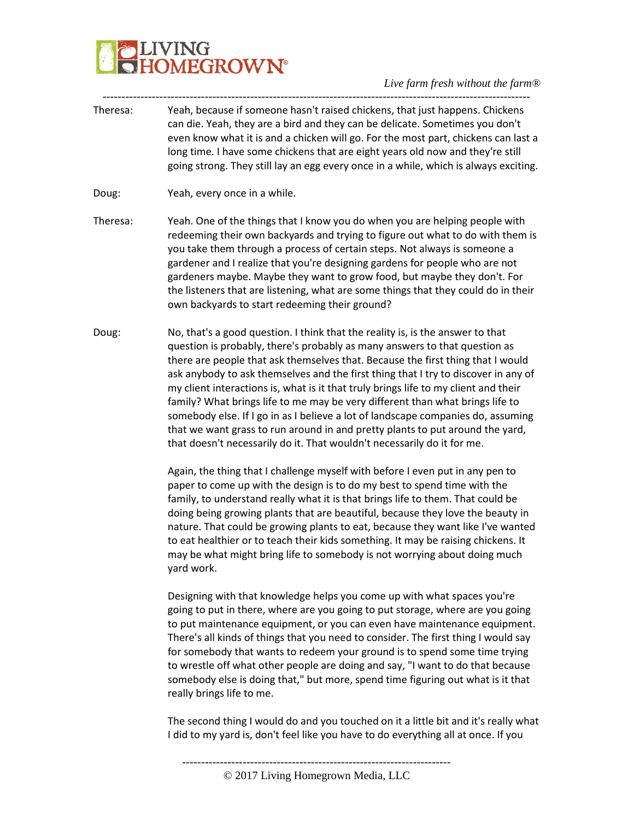# **JVING<br>HOMEGROWN®**

*Live farm fresh without the farm®*

Theresa: Yeah, because if someone hasn't raised chickens, that just happens. Chickens can die. Yeah, they are a bird and they can be delicate. Sometimes you don't even know what it is and a chicken will go. For the most part, chickens can last a long time. I have some chickens that are eight years old now and they're still going strong. They still lay an egg every once in a while, which is always exciting.

-----------------------------------------------------------------------------------------------------------------

- Doug: Yeah, every once in a while.
- Theresa: Yeah. One of the things that I know you do when you are helping people with redeeming their own backyards and trying to figure out what to do with them is you take them through a process of certain steps. Not always is someone a gardener and I realize that you're designing gardens for people who are not gardeners maybe. Maybe they want to grow food, but maybe they don't. For the listeners that are listening, what are some things that they could do in their own backyards to start redeeming their ground?
- Doug: No, that's a good question. I think that the reality is, is the answer to that question is probably, there's probably as many answers to that question as there are people that ask themselves that. Because the first thing that I would ask anybody to ask themselves and the first thing that I try to discover in any of my client interactions is, what is it that truly brings life to my client and their family? What brings life to me may be very different than what brings life to somebody else. If I go in as I believe a lot of landscape companies do, assuming that we want grass to run around in and pretty plants to put around the yard, that doesn't necessarily do it. That wouldn't necessarily do it for me.

Again, the thing that I challenge myself with before I even put in any pen to paper to come up with the design is to do my best to spend time with the family, to understand really what it is that brings life to them. That could be doing being growing plants that are beautiful, because they love the beauty in nature. That could be growing plants to eat, because they want like I've wanted to eat healthier or to teach their kids something. It may be raising chickens. It may be what might bring life to somebody is not worrying about doing much yard work.

Designing with that knowledge helps you come up with what spaces you're going to put in there, where are you going to put storage, where are you going to put maintenance equipment, or you can even have maintenance equipment. There's all kinds of things that you need to consider. The first thing I would say for somebody that wants to redeem your ground is to spend some time trying to wrestle off what other people are doing and say, "I want to do that because somebody else is doing that," but more, spend time figuring out what is it that really brings life to me.

The second thing I would do and you touched on it a little bit and it's really what I did to my yard is, don't feel like you have to do everything all at once. If you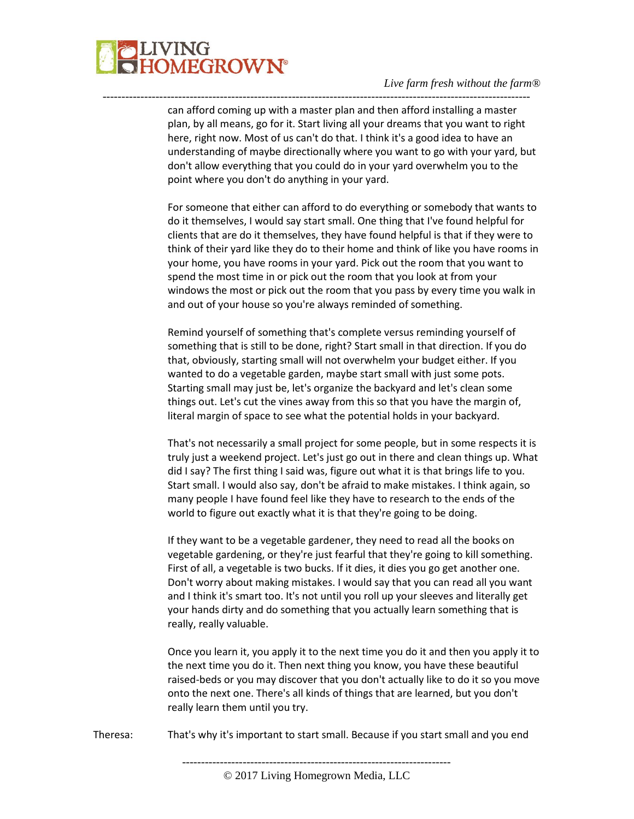

can afford coming up with a master plan and then afford installing a master plan, by all means, go for it. Start living all your dreams that you want to right here, right now. Most of us can't do that. I think it's a good idea to have an understanding of maybe directionally where you want to go with your yard, but don't allow everything that you could do in your yard overwhelm you to the point where you don't do anything in your yard.

-----------------------------------------------------------------------------------------------------------------

For someone that either can afford to do everything or somebody that wants to do it themselves, I would say start small. One thing that I've found helpful for clients that are do it themselves, they have found helpful is that if they were to think of their yard like they do to their home and think of like you have rooms in your home, you have rooms in your yard. Pick out the room that you want to spend the most time in or pick out the room that you look at from your windows the most or pick out the room that you pass by every time you walk in and out of your house so you're always reminded of something.

Remind yourself of something that's complete versus reminding yourself of something that is still to be done, right? Start small in that direction. If you do that, obviously, starting small will not overwhelm your budget either. If you wanted to do a vegetable garden, maybe start small with just some pots. Starting small may just be, let's organize the backyard and let's clean some things out. Let's cut the vines away from this so that you have the margin of, literal margin of space to see what the potential holds in your backyard.

That's not necessarily a small project for some people, but in some respects it is truly just a weekend project. Let's just go out in there and clean things up. What did I say? The first thing I said was, figure out what it is that brings life to you. Start small. I would also say, don't be afraid to make mistakes. I think again, so many people I have found feel like they have to research to the ends of the world to figure out exactly what it is that they're going to be doing.

If they want to be a vegetable gardener, they need to read all the books on vegetable gardening, or they're just fearful that they're going to kill something. First of all, a vegetable is two bucks. If it dies, it dies you go get another one. Don't worry about making mistakes. I would say that you can read all you want and I think it's smart too. It's not until you roll up your sleeves and literally get your hands dirty and do something that you actually learn something that is really, really valuable.

Once you learn it, you apply it to the next time you do it and then you apply it to the next time you do it. Then next thing you know, you have these beautiful raised-beds or you may discover that you don't actually like to do it so you move onto the next one. There's all kinds of things that are learned, but you don't really learn them until you try.

Theresa: That's why it's important to start small. Because if you start small and you end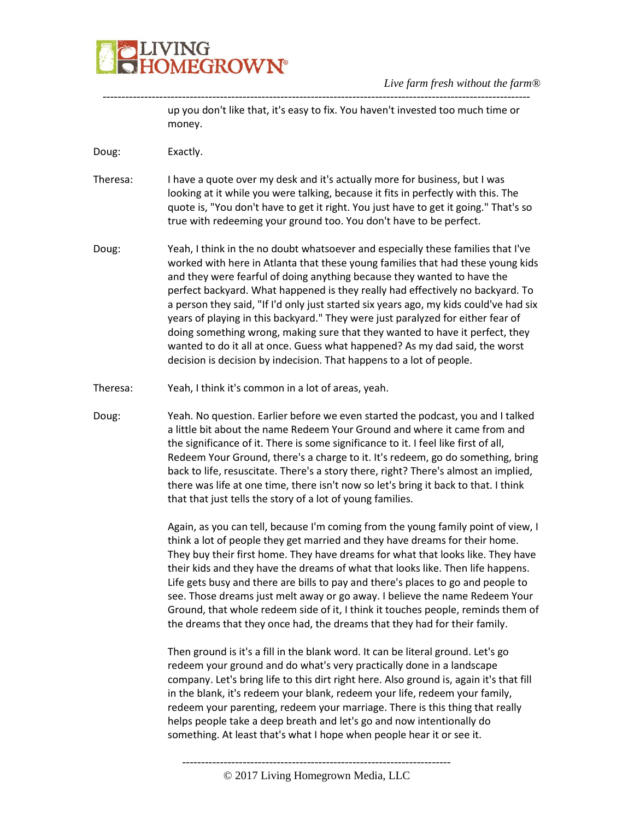

up you don't like that, it's easy to fix. You haven't invested too much time or money.

Doug: Exactly.

Theresa: I have a quote over my desk and it's actually more for business, but I was looking at it while you were talking, because it fits in perfectly with this. The quote is, "You don't have to get it right. You just have to get it going." That's so true with redeeming your ground too. You don't have to be perfect.

-----------------------------------------------------------------------------------------------------------------

- Doug: Yeah, I think in the no doubt whatsoever and especially these families that I've worked with here in Atlanta that these young families that had these young kids and they were fearful of doing anything because they wanted to have the perfect backyard. What happened is they really had effectively no backyard. To a person they said, "If I'd only just started six years ago, my kids could've had six years of playing in this backyard." They were just paralyzed for either fear of doing something wrong, making sure that they wanted to have it perfect, they wanted to do it all at once. Guess what happened? As my dad said, the worst decision is decision by indecision. That happens to a lot of people.
- Theresa: Yeah, I think it's common in a lot of areas, yeah.
- Doug: Yeah. No question. Earlier before we even started the podcast, you and I talked a little bit about the name Redeem Your Ground and where it came from and the significance of it. There is some significance to it. I feel like first of all, Redeem Your Ground, there's a charge to it. It's redeem, go do something, bring back to life, resuscitate. There's a story there, right? There's almost an implied, there was life at one time, there isn't now so let's bring it back to that. I think that that just tells the story of a lot of young families.

Again, as you can tell, because I'm coming from the young family point of view, I think a lot of people they get married and they have dreams for their home. They buy their first home. They have dreams for what that looks like. They have their kids and they have the dreams of what that looks like. Then life happens. Life gets busy and there are bills to pay and there's places to go and people to see. Those dreams just melt away or go away. I believe the name Redeem Your Ground, that whole redeem side of it, I think it touches people, reminds them of the dreams that they once had, the dreams that they had for their family.

Then ground is it's a fill in the blank word. It can be literal ground. Let's go redeem your ground and do what's very practically done in a landscape company. Let's bring life to this dirt right here. Also ground is, again it's that fill in the blank, it's redeem your blank, redeem your life, redeem your family, redeem your parenting, redeem your marriage. There is this thing that really helps people take a deep breath and let's go and now intentionally do something. At least that's what I hope when people hear it or see it.